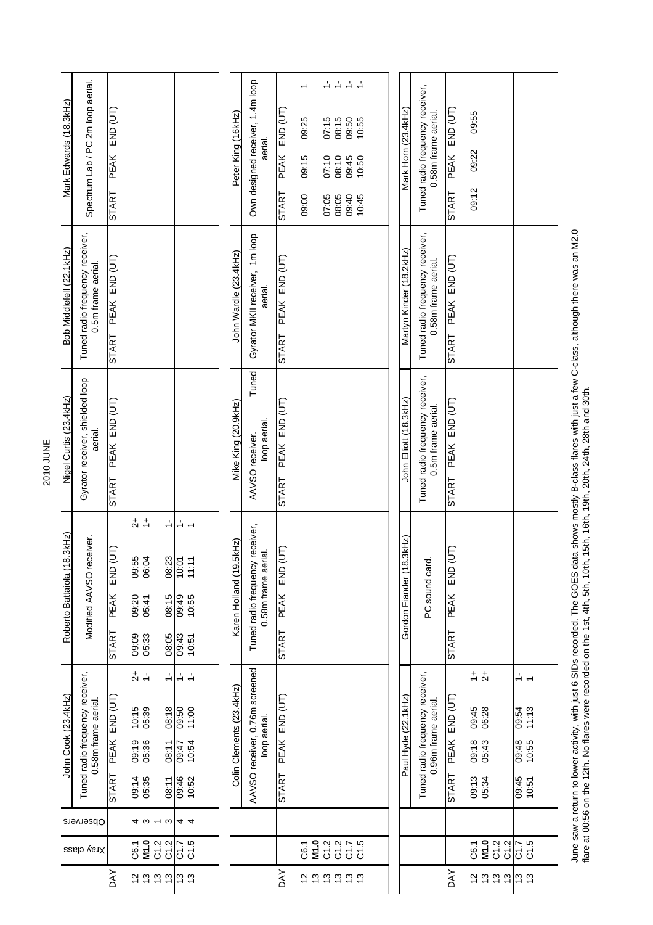|                              |           | John Cook (23.4kHz)                                                                             | 8.3kHz<br>Roberto Battaiola (1                                            | Nigel Curtis (23.4kHz)                                | Bob Middlefell (22.1kHz)                               | Mark Edwards (18.3kHz)                                                        |
|------------------------------|-----------|-------------------------------------------------------------------------------------------------|---------------------------------------------------------------------------|-------------------------------------------------------|--------------------------------------------------------|-------------------------------------------------------------------------------|
| Xray class                   | Observers | Tuned radio frequency receiver,<br>0.58m frame aerial                                           | Modified AAVSO receiver.                                                  | Gyrator receiver, shielded loop<br>aerial.            | Tuned radio frequency receiver,<br>0.5m frame aerial.  | Spectrum Lab / PC 2m loop aerial.                                             |
|                              |           | END (UT)<br>PEAK<br><b>START</b>                                                                | (JT)<br>으시크<br>도시<br>PEAK<br>START                                        | PEAK END (UT)<br><b>START</b>                         | PEAK END (UT)<br>START                                 | END (UT)<br><b>PEAK</b><br><b>START</b>                                       |
| M1.0<br>C6.1                 | 4010      | $\stackrel{+}{\sim}$<br>$10:15$<br>$05:39$<br>09:19<br>05:36<br>09:14<br>05:35                  | $\frac{+}{0}$<br><b>55</b><br>8<br>06<br>09:20<br>05:41<br>09:09<br>05:33 |                                                       |                                                        |                                                                               |
| C1.2<br>$\frac{2}{5}$        |           | $\frac{1}{2}$<br>08:18<br>08:11<br>08:11                                                        | $\div$<br>08:23<br>08:15<br>08:05                                         |                                                       |                                                        |                                                                               |
| C1.5<br>C1.5                 | 44        | $\frac{1}{\sqrt{2}}$<br>$\frac{1}{2}$<br>11:00<br>09:50<br>10:54<br>09:47<br>09:46<br>10:52     | ↵<br>$\overline{5}$<br>11:11<br>11:11<br>95:01<br>67:60<br>10:51<br>£4:60 |                                                       |                                                        |                                                                               |
|                              |           |                                                                                                 |                                                                           |                                                       |                                                        |                                                                               |
|                              |           |                                                                                                 |                                                                           |                                                       |                                                        |                                                                               |
|                              |           | Colin Clements (23.4kHz)                                                                        | 9.5kHz)<br>Karen Holland (19                                              | Mike King (20.9kHz)                                   | John Wardle (23.4kHz)                                  | Peter King (16kHz)                                                            |
|                              |           | AAVSO receiver, 0.76m screened<br>loop aerial.                                                  | Tuned radio frequency receiver,<br>0.58m frame aerial.                    | Tuned<br>loop aerial.<br>AAVSO receiver.              | Gyrator MKII receiver, 1m loop<br>aerial.              | Own designed receiver, 1.4m loop<br>aerial.                                   |
|                              |           | END (UT)<br><b>PEAK</b><br><b>START</b>                                                         | (UT)<br>END<br>PEAK<br>START                                              | PEAK END (UT)<br><b>START</b>                         | PEAK END (UT)<br><b>START</b>                          | END (UT)<br>PEAK<br>START                                                     |
| M1.0<br>C6.1                 |           |                                                                                                 |                                                                           |                                                       |                                                        | 09:25<br>09:15<br>09:00                                                       |
| C1.2<br>C1.2                 |           |                                                                                                 |                                                                           |                                                       |                                                        | ÷<br>$\div$<br>07:15<br>08:15<br>08:10<br>07:10<br>07:05<br>08:05             |
| 5<br>2<br>1<br>2<br>2        |           |                                                                                                 |                                                                           |                                                       |                                                        | $\div$<br>$\frac{1}{2}$<br>09:50<br>10:55<br>09:45<br>10:50<br>09:40<br>10:45 |
|                              |           |                                                                                                 |                                                                           |                                                       |                                                        |                                                                               |
|                              |           |                                                                                                 |                                                                           |                                                       |                                                        |                                                                               |
|                              |           | Paul Hyde (22.1kHz)                                                                             | 8.3kHz<br>Gordon Fiander (1                                               | John Elliott (18.3kHz)                                | Martyn Kinder (18.2kHz)                                | Mark Horn (23.4kHz)                                                           |
|                              |           | Tuned radio frequency receiver,<br>0.96m frame aerial.                                          | PC sound card.                                                            | Tuned radio frequency receiver,<br>0.5m frame aerial. | Tuned radio frequency receiver,<br>0.58m frame aerial. | Tuned radio frequency receiver,<br>0.58m frame aerial.                        |
|                              |           | END (UT)<br>PEAK<br><b>START</b>                                                                | (UT)<br>END<br><b>PEAK</b><br>START                                       | PEAK END (UT)<br><b>START</b>                         | PEAK END (UT)<br><b>START</b>                          | $END$ (UT)<br>PEAK<br><b>START</b>                                            |
| M1.0<br>C1.2<br>C1.2<br>C6.1 |           | $\stackrel{+}{\sim}$ $\stackrel{+}{\sim}$<br>06:28<br>09:45<br>09:18<br>05:43<br>09:13<br>05:34 |                                                                           |                                                       |                                                        | 09:55<br>09:22<br>09:12                                                       |
|                              |           | $\div$<br>09:54                                                                                 |                                                                           |                                                       |                                                        |                                                                               |
| C1.5<br>C1.5                 |           | 11:13<br>09:48<br>10:55<br>09:45<br>10:51                                                       |                                                                           |                                                       |                                                        |                                                                               |
|                              |           |                                                                                                 |                                                                           |                                                       |                                                        |                                                                               |

June saw a return to lower activity, with just 6 SIDs recorded. The GOES data shows mostly B-class flares with just a few C-class, although there was an M2.0<br>flare at 00:56 on the 12th. No flares were recorded on the 1st, June saw a return to lower activity, with just 6 SIDs recorded. The GOES data shows mostly B-class flares with just a few C-class, although there was an M2.0 flare at 00:56 on the 12th. No flares were recorded on the 1st, 4th, 5th, 10th, 15th, 16th, 19th, 20th, 24th, 28th and 30th.

2010 JUNE